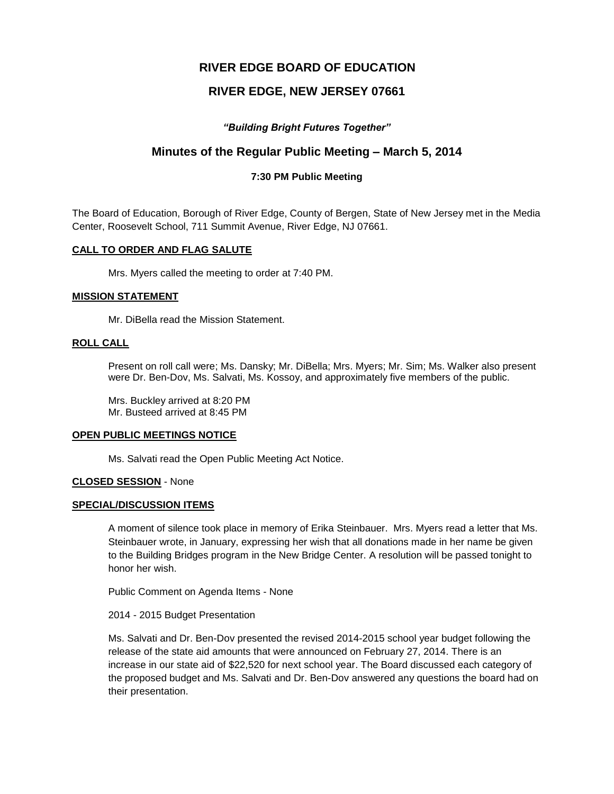# **RIVER EDGE BOARD OF EDUCATION**

# **RIVER EDGE, NEW JERSEY 07661**

# *"Building Bright Futures Together"*

# **Minutes of the Regular Public Meeting – March 5, 2014**

# **7:30 PM Public Meeting**

The Board of Education, Borough of River Edge, County of Bergen, State of New Jersey met in the Media Center, Roosevelt School, 711 Summit Avenue, River Edge, NJ 07661.

## **CALL TO ORDER AND FLAG SALUTE**

Mrs. Myers called the meeting to order at 7:40 PM.

#### **MISSION STATEMENT**

Mr. DiBella read the Mission Statement.

## **ROLL CALL**

Present on roll call were; Ms. Dansky; Mr. DiBella; Mrs. Myers; Mr. Sim; Ms. Walker also present were Dr. Ben-Dov, Ms. Salvati, Ms. Kossoy, and approximately five members of the public.

Mrs. Buckley arrived at 8:20 PM Mr. Busteed arrived at 8:45 PM

#### **OPEN PUBLIC MEETINGS NOTICE**

Ms. Salvati read the Open Public Meeting Act Notice.

## **CLOSED SESSION** - None

## **SPECIAL/DISCUSSION ITEMS**

A moment of silence took place in memory of Erika Steinbauer. Mrs. Myers read a letter that Ms. Steinbauer wrote, in January, expressing her wish that all donations made in her name be given to the Building Bridges program in the New Bridge Center. A resolution will be passed tonight to honor her wish.

Public Comment on Agenda Items - None

2014 - 2015 Budget Presentation

Ms. Salvati and Dr. Ben-Dov presented the revised 2014-2015 school year budget following the release of the state aid amounts that were announced on February 27, 2014. There is an increase in our state aid of \$22,520 for next school year. The Board discussed each category of the proposed budget and Ms. Salvati and Dr. Ben-Dov answered any questions the board had on their presentation.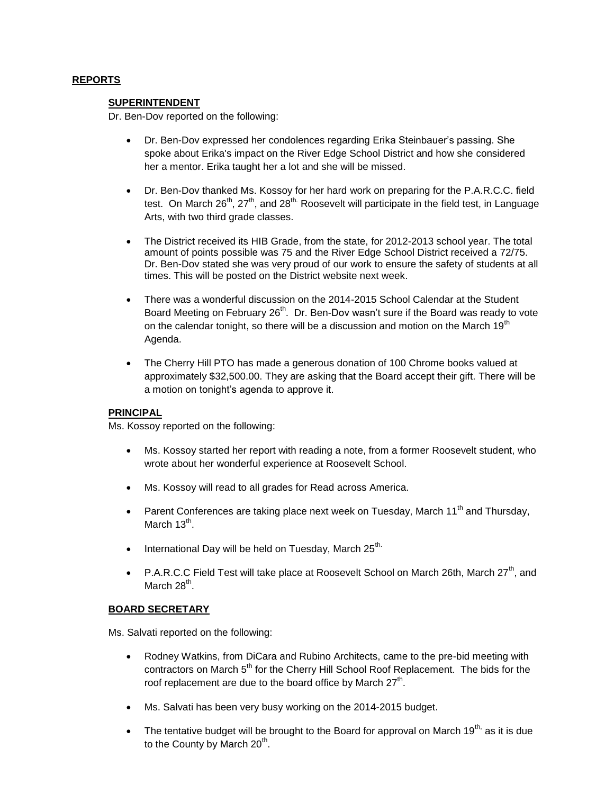# **REPORTS**

## **SUPERINTENDENT**

Dr. Ben-Dov reported on the following:

- Dr. Ben-Dov expressed her condolences regarding Erika Steinbauer's passing. She spoke about Erika's impact on the River Edge School District and how she considered her a mentor. Erika taught her a lot and she will be missed.
- Dr. Ben-Dov thanked Ms. Kossoy for her hard work on preparing for the P.A.R.C.C. field test. On March  $26<sup>th</sup>$ ,  $27<sup>th</sup>$ , and  $28<sup>th</sup>$ . Roosevelt will participate in the field test, in Language Arts, with two third grade classes.
- The District received its HIB Grade, from the state, for 2012-2013 school year. The total amount of points possible was 75 and the River Edge School District received a 72/75. Dr. Ben-Dov stated she was very proud of our work to ensure the safety of students at all times. This will be posted on the District website next week.
- There was a wonderful discussion on the 2014-2015 School Calendar at the Student Board Meeting on February 26<sup>th</sup>. Dr. Ben-Dov wasn't sure if the Board was ready to vote on the calendar tonight, so there will be a discussion and motion on the March  $19<sup>th</sup>$ Agenda.
- The Cherry Hill PTO has made a generous donation of 100 Chrome books valued at approximately \$32,500.00. They are asking that the Board accept their gift. There will be a motion on tonight's agenda to approve it.

# **PRINCIPAL**

Ms. Kossoy reported on the following:

- Ms. Kossoy started her report with reading a note, from a former Roosevelt student, who wrote about her wonderful experience at Roosevelt School.
- Ms. Kossoy will read to all grades for Read across America.
- Parent Conferences are taking place next week on Tuesday, March  $11<sup>th</sup>$  and Thursday, March 13<sup>th</sup>.
- $\bullet$  International Day will be held on Tuesday, March 25<sup>th.</sup>
- P.A.R.C.C Field Test will take place at Roosevelt School on March 26th, March 27<sup>th</sup>, and March 28<sup>th</sup>.

## **BOARD SECRETARY**

Ms. Salvati reported on the following:

- Rodney Watkins, from DiCara and Rubino Architects, came to the pre-bid meeting with contractors on March 5<sup>th</sup> for the Cherry Hill School Roof Replacement. The bids for the roof replacement are due to the board office by March 27<sup>th</sup>.
- Ms. Salvati has been very busy working on the 2014-2015 budget.
- The tentative budget will be brought to the Board for approval on March 19<sup>th,</sup> as it is due to the County by March 20<sup>th</sup>.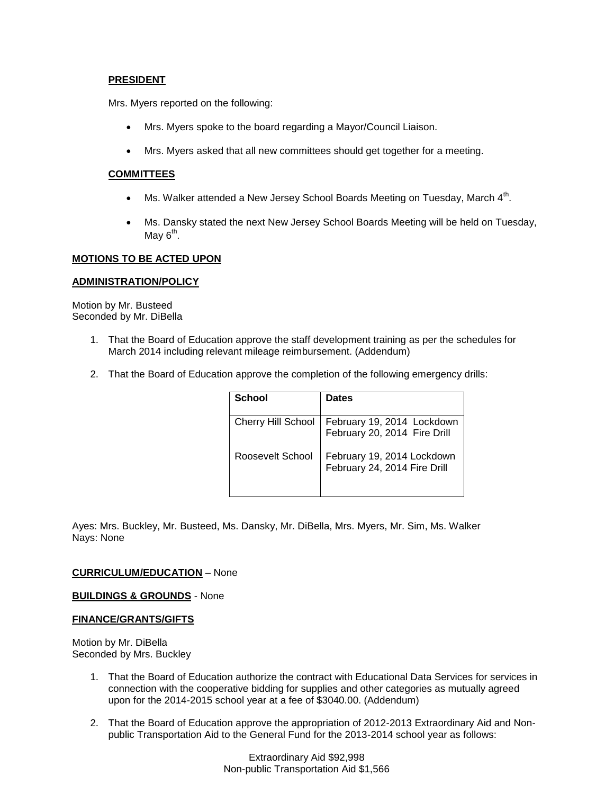## **PRESIDENT**

Mrs. Myers reported on the following:

- Mrs. Myers spoke to the board regarding a Mayor/Council Liaison.
- Mrs. Myers asked that all new committees should get together for a meeting.

## **COMMITTEES**

- Ms. Walker attended a New Jersey School Boards Meeting on Tuesday, March  $4<sup>th</sup>$ .
- Ms. Dansky stated the next New Jersey School Boards Meeting will be held on Tuesday, May 6<sup>th</sup>.

## **MOTIONS TO BE ACTED UPON**

## **ADMINISTRATION/POLICY**

Motion by Mr. Busteed Seconded by Mr. DiBella

- 1. That the Board of Education approve the staff development training as per the schedules for March 2014 including relevant mileage reimbursement. (Addendum)
- 2. That the Board of Education approve the completion of the following emergency drills:

| School             | <b>Dates</b>                                               |
|--------------------|------------------------------------------------------------|
| Cherry Hill School | February 19, 2014 Lockdown<br>February 20, 2014 Fire Drill |
| Roosevelt School   | February 19, 2014 Lockdown<br>February 24, 2014 Fire Drill |

Ayes: Mrs. Buckley, Mr. Busteed, Ms. Dansky, Mr. DiBella, Mrs. Myers, Mr. Sim, Ms. Walker Nays: None

## **CURRICULUM/EDUCATION** – None

**BUILDINGS & GROUNDS** - None

#### **FINANCE/GRANTS/GIFTS**

Motion by Mr. DiBella Seconded by Mrs. Buckley

- 1. That the Board of Education authorize the contract with Educational Data Services for services in connection with the cooperative bidding for supplies and other categories as mutually agreed upon for the 2014-2015 school year at a fee of \$3040.00. (Addendum)
- 2. That the Board of Education approve the appropriation of 2012-2013 Extraordinary Aid and Nonpublic Transportation Aid to the General Fund for the 2013-2014 school year as follows: